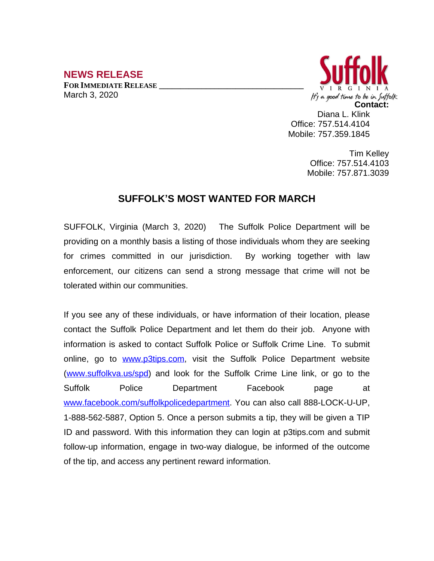## **NEWS RELEASE**

**FOR IMMEDIATE RELEASE \_\_\_\_\_\_\_\_\_\_\_\_\_\_\_\_\_\_\_\_\_\_\_\_\_\_\_\_\_\_\_\_\_\_** March 3, 2020



Office: 757.514.4104 Mobile: 757.359.1845

> Tim Kelley Office: 757.514.4103 Mobile: 757.871.3039

## **SUFFOLK'S MOST WANTED FOR MARCH**

SUFFOLK, Virginia (March 3, 2020) The Suffolk Police Department will be providing on a monthly basis a listing of those individuals whom they are seeking for crimes committed in our jurisdiction. By working together with law enforcement, our citizens can send a strong message that crime will not be tolerated within our communities.

If you see any of these individuals, or have information of their location, please contact the Suffolk Police Department and let them do their job. Anyone with information is asked to contact Suffolk Police or Suffolk Crime Line. To submit online, go to [www.p3tips.com](http://www.p3tips.com), visit the Suffolk Police Department website ([www.suffolkva.us/spd](http://www.suffolkva.us/spd)) and look for the Suffolk Crime Line link, or go to the Suffolk Police Department Facebook page at [www.facebook.com/suffolkpolicedepartment](http://www.facebook.com/suffolkpolicedepartment). You can also call 888-LOCK-U-UP, 1-888-562-5887, Option 5. Once a person submits a tip, they will be given a TIP ID and password. With this information they can login at p3tips.com and submit follow-up information, engage in two-way dialogue, be informed of the outcome of the tip, and access any pertinent reward information.